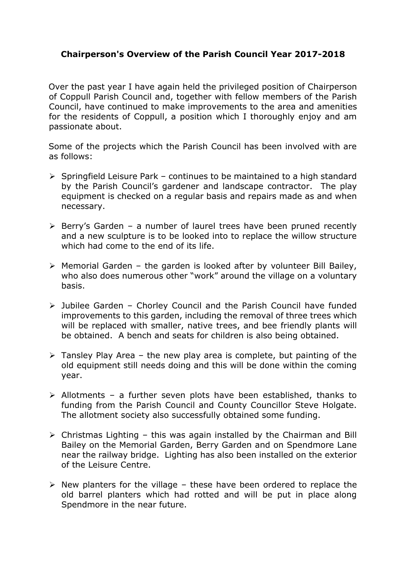## **Chairperson's Overview of the Parish Council Year 2017-2018**

Over the past year I have again held the privileged position of Chairperson of Coppull Parish Council and, together with fellow members of the Parish Council, have continued to make improvements to the area and amenities for the residents of Coppull, a position which I thoroughly enjoy and am passionate about.

Some of the projects which the Parish Council has been involved with are as follows:

- $\triangleright$  Springfield Leisure Park continues to be maintained to a high standard by the Parish Council's gardener and landscape contractor. The play equipment is checked on a regular basis and repairs made as and when necessary.
- $\triangleright$  Berry's Garden a number of laurel trees have been pruned recently and a new sculpture is to be looked into to replace the willow structure which had come to the end of its life.
- $\triangleright$  Memorial Garden the garden is looked after by volunteer Bill Bailey, who also does numerous other "work" around the village on a voluntary basis.
- Jubilee Garden Chorley Council and the Parish Council have funded improvements to this garden, including the removal of three trees which will be replaced with smaller, native trees, and bee friendly plants will be obtained. A bench and seats for children is also being obtained.
- $\triangleright$  Tansley Play Area the new play area is complete, but painting of the old equipment still needs doing and this will be done within the coming year.
- $\triangleright$  Allotments a further seven plots have been established, thanks to funding from the Parish Council and County Councillor Steve Holgate. The allotment society also successfully obtained some funding.
- $\triangleright$  Christmas Lighting this was again installed by the Chairman and Bill Bailey on the Memorial Garden, Berry Garden and on Spendmore Lane near the railway bridge. Lighting has also been installed on the exterior of the Leisure Centre.
- $\triangleright$  New planters for the village these have been ordered to replace the old barrel planters which had rotted and will be put in place along Spendmore in the near future.